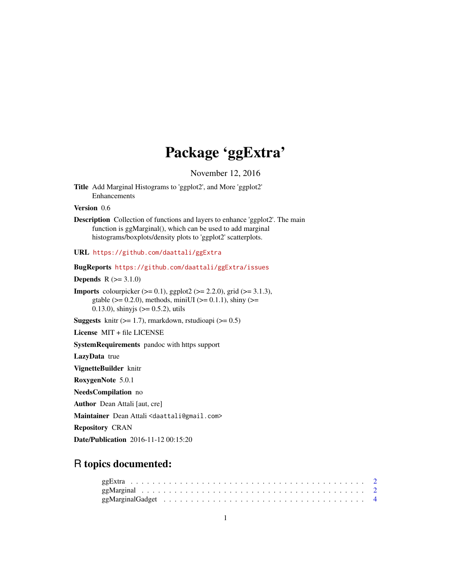## Package 'ggExtra'

November 12, 2016

Title Add Marginal Histograms to 'ggplot2', and More 'ggplot2' Enhancements

Version 0.6

Description Collection of functions and layers to enhance 'ggplot2'. The main function is ggMarginal(), which can be used to add marginal histograms/boxplots/density plots to 'ggplot2' scatterplots.

URL <https://github.com/daattali/ggExtra>

BugReports <https://github.com/daattali/ggExtra/issues>

**Depends**  $R (= 3.1.0)$ 

**Imports** colourpicker  $(>= 0.1)$ , ggplot2  $(>= 2.2.0)$ , grid  $(>= 3.1.3)$ , gtable ( $>= 0.2.0$ ), methods, miniUI ( $>= 0.1.1$ ), shiny ( $>=$ 0.13.0), shinyjs ( $> = 0.5.2$ ), utils

Suggests knitr  $(>= 1.7)$ , rmarkdown, rstudioapi  $(>= 0.5)$ 

License MIT + file LICENSE

SystemRequirements pandoc with https support

LazyData true

VignetteBuilder knitr

RoxygenNote 5.0.1

NeedsCompilation no

Author Dean Attali [aut, cre]

Maintainer Dean Attali <daattali@gmail.com>

Repository CRAN

Date/Publication 2016-11-12 00:15:20

### R topics documented: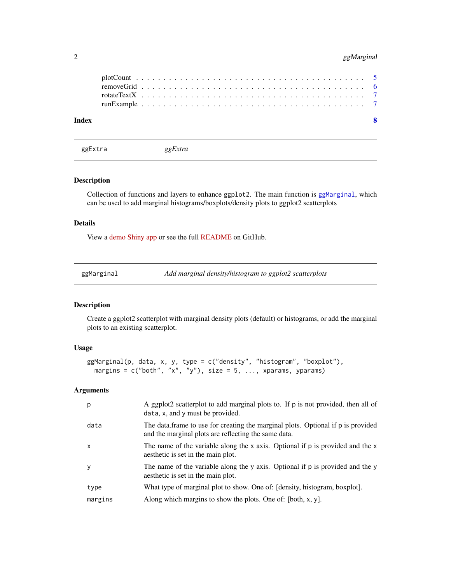<span id="page-1-0"></span>

| Index |  |  |  |  |  |  |  |  |  |  |  |  |  |  |  |  |  |  |  |  |  | ୍ଷ |
|-------|--|--|--|--|--|--|--|--|--|--|--|--|--|--|--|--|--|--|--|--|--|----|
|       |  |  |  |  |  |  |  |  |  |  |  |  |  |  |  |  |  |  |  |  |  |    |
|       |  |  |  |  |  |  |  |  |  |  |  |  |  |  |  |  |  |  |  |  |  |    |
|       |  |  |  |  |  |  |  |  |  |  |  |  |  |  |  |  |  |  |  |  |  |    |

ggExtra *ggExtra*

#### Description

Collection of functions and layers to enhance ggplot2. The main function is [ggMarginal](#page-1-1), which can be used to add marginal histograms/boxplots/density plots to ggplot2 scatterplots

#### Details

View a [demo Shiny app](http://daattali.com/shiny/ggExtra-ggMarginal-demo/) or see the full [README](https://github.com/daattali/ggExtra) on GitHub.

<span id="page-1-1"></span>

| ggMarginal | Add marginal density/histogram to ggplot2 scatterplots |
|------------|--------------------------------------------------------|
|            |                                                        |

#### Description

Create a ggplot2 scatterplot with marginal density plots (default) or histograms, or add the marginal plots to an existing scatterplot.

#### Usage

```
ggMarginal(p, data, x, y, type = c("density", "histogram", "boxplot"),
 margins = c("both", "x", "y"), size = 5, ..., xparams, yparams)
```
#### Arguments

| p            | A ggplot2 scatterplot to add marginal plots to. If p is not provided, then all of<br>data, x, and y must be provided.                    |
|--------------|------------------------------------------------------------------------------------------------------------------------------------------|
| data         | The data frame to use for creating the marginal plots. Optional if p is provided<br>and the marginal plots are reflecting the same data. |
| $\mathsf{x}$ | The name of the variable along the x axis. Optional if p is provided and the x<br>aesthetic is set in the main plot.                     |
| y            | The name of the variable along the y axis. Optional if p is provided and the y<br>aesthetic is set in the main plot.                     |
| type         | What type of marginal plot to show. One of: [density, histogram, boxplot].                                                               |
| margins      | Along which margins to show the plots. One of: [both, x, y].                                                                             |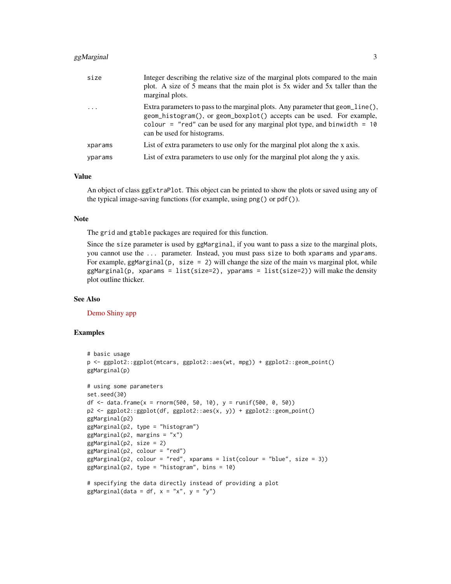#### $gg$ Marginal 3

| size      | Integer describing the relative size of the marginal plots compared to the main<br>plot. A size of 5 means that the main plot is 5x wider and 5x taller than the<br>marginal plots.                                                                                   |
|-----------|-----------------------------------------------------------------------------------------------------------------------------------------------------------------------------------------------------------------------------------------------------------------------|
| $\ddotsc$ | Extra parameters to pass to the marginal plots. Any parameter that geom_line(),<br>geom_histogram(), or geom_boxplot() accepts can be used. For example,<br>colour = "red" can be used for any marginal plot type, and binwidth = $10$<br>can be used for histograms. |
| xparams   | List of extra parameters to use only for the marginal plot along the x axis.                                                                                                                                                                                          |
| yparams   | List of extra parameters to use only for the marginal plot along the y axis.                                                                                                                                                                                          |

#### Value

An object of class ggExtraPlot. This object can be printed to show the plots or saved using any of the typical image-saving functions (for example, using png() or pdf()).

#### Note

The grid and gtable packages are required for this function.

Since the size parameter is used by ggMarginal, if you want to pass a size to the marginal plots, you cannot use the ... parameter. Instead, you must pass size to both xparams and yparams. For example, ggMarginal(p, size  $= 2$ ) will change the size of the main vs marginal plot, while  $ggMarginal(p, xparams = list(size=2), yparams = list(size=2))$  will make the density plot outline thicker.

#### See Also

[Demo Shiny app](http://daattali.com/shiny/ggExtra-ggMarginal-demo/)

```
# basic usage
p <- ggplot2::ggplot(mtcars, ggplot2::aes(wt, mpg)) + ggplot2::geom_point()
ggMarginal(p)
# using some parameters
set.seed(30)
df \le data.frame(x = rnorm(500, 50, 10), y = runif(500, 0, 50))
p2 <- ggplot2::ggplot(df, ggplot2::aes(x, y)) + ggplot2::geom_point()
ggMarginal(p2)
ggMarginal(p2, type = "histogram")
ggMarginal(p2, margins = "x")ggMarginal(p2, size = 2)ggMarginal(p2, colour = "red")
ggMarginal(p2, colour = "red", xparams = list(colour = "blue", size = 3))ggMarginal(p2, type = "histogram", bins = 10)
# specifying the data directly instead of providing a plot
ggMarginal(data = df, x = "x", y = "y")
```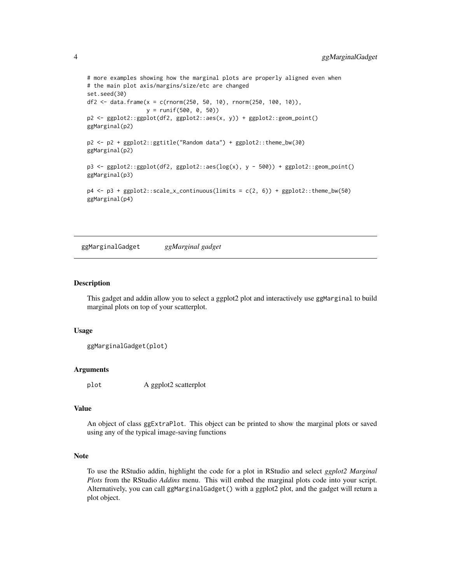```
# more examples showing how the marginal plots are properly aligned even when
# the main plot axis/margins/size/etc are changed
set.seed(30)
df2 <- data.frame(x = c(rnorm(250, 50, 10), rnorm(250, 100, 10)),
                  y = runif(500, 0, 50))
p2 <- ggplot2::ggplot(df2, ggplot2::aes(x, y)) + ggplot2::geom_point()
ggMarginal(p2)
p2 <- p2 + ggplot2::ggtitle("Random data") + ggplot2::theme_bw(30)
ggMarginal(p2)
p3 <- ggplot2::ggplot(df2, ggplot2::aes(log(x), y - 500)) + ggplot2::geom_point()
ggMarginal(p3)
p4 \leq p3 + ggplot2::scale_x_{continuous}(limits = c(2, 6)) + ggplot2::theme_bw(50)ggMarginal(p4)
```
ggMarginalGadget *ggMarginal gadget*

#### **Description**

This gadget and addin allow you to select a ggplot2 plot and interactively use ggMarginal to build marginal plots on top of your scatterplot.

#### Usage

```
ggMarginalGadget(plot)
```
#### Arguments

plot A ggplot2 scatterplot

#### Value

An object of class ggExtraPlot. This object can be printed to show the marginal plots or saved using any of the typical image-saving functions

#### Note

To use the RStudio addin, highlight the code for a plot in RStudio and select *ggplot2 Marginal Plots* from the RStudio *Addins* menu. This will embed the marginal plots code into your script. Alternatively, you can call ggMarginalGadget() with a ggplot2 plot, and the gadget will return a plot object.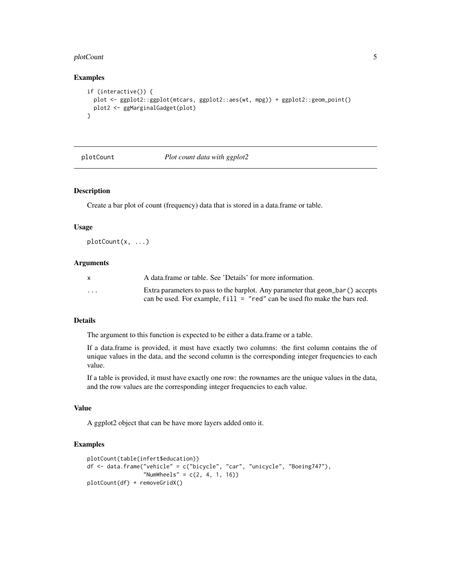#### <span id="page-4-0"></span>plotCount 5

#### Examples

```
if (interactive()) {
 plot <- ggplot2::ggplot(mtcars, ggplot2::aes(wt, mpg)) + ggplot2::geom_point()
 plot2 <- ggMarginalGadget(plot)
}
```
plotCount *Plot count data with ggplot2*

#### Description

Create a bar plot of count (frequency) data that is stored in a data.frame or table.

#### Usage

plotCount(x, ...)

#### Arguments

|                         | A data frame or table. See 'Details' for more information.                     |
|-------------------------|--------------------------------------------------------------------------------|
| $\cdot$ $\cdot$ $\cdot$ | Extra parameters to pass to the barplot. Any parameter that geom bar() accepts |
|                         | can be used. For example, $fill = "red"$ can be used fto make the bars red.    |

#### Details

The argument to this function is expected to be either a data.frame or a table.

If a data.frame is provided, it must have exactly two columns: the first column contains the of unique values in the data, and the second column is the corresponding integer frequencies to each value.

If a table is provided, it must have exactly one row: the rownames are the unique values in the data, and the row values are the corresponding integer frequencies to each value.

#### Value

A ggplot2 object that can be have more layers added onto it.

```
plotCount(table(infert$education))
df <- data.frame("vehicle" = c("bicycle", "car", "unicycle", "Boeing747"),
                 "NumWheels" = c(2, 4, 1, 16))
plotCount(df) + removeGridX()
```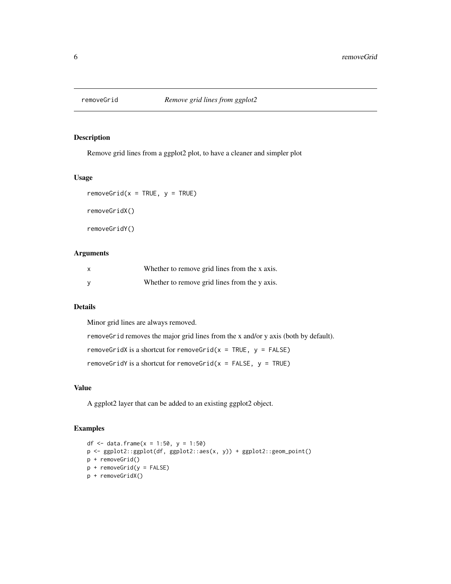<span id="page-5-0"></span>

#### Description

Remove grid lines from a ggplot2 plot, to have a cleaner and simpler plot

#### Usage

 $removeGrid(x = TRUE, y = TRUE)$ removeGridX() removeGridY()

#### Arguments

| $\boldsymbol{\mathsf{x}}$ | Whether to remove grid lines from the x axis. |
|---------------------------|-----------------------------------------------|
| <b>V</b>                  | Whether to remove grid lines from the y axis. |

#### Details

Minor grid lines are always removed.

removeGrid removes the major grid lines from the x and/or y axis (both by default).

removeGridX is a shortcut for removeGrid( $x = TRUE$ ,  $y = FALSE$ )

removeGridY is a shortcut for removeGrid( $x =$  FALSE,  $y =$  TRUE)

#### Value

A ggplot2 layer that can be added to an existing ggplot2 object.

```
df <- data.frame(x = 1:50, y = 1:50)
p <- ggplot2::ggplot(df, ggplot2::aes(x, y)) + ggplot2::geom_point()
p + removeGrid()
p + removeGrid(y = FALSE)
p + removeGridX()
```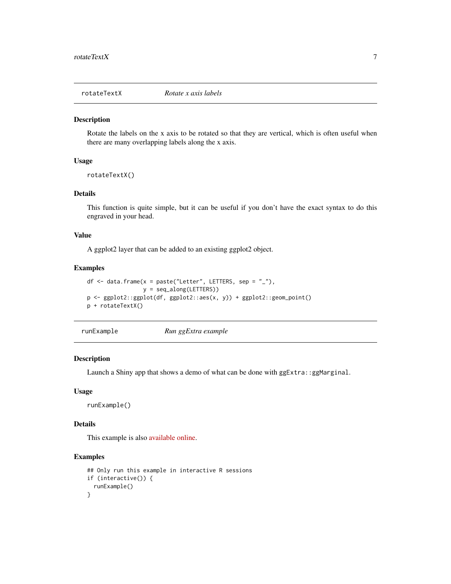<span id="page-6-0"></span>

#### Description

Rotate the labels on the x axis to be rotated so that they are vertical, which is often useful when there are many overlapping labels along the x axis.

#### Usage

```
rotateTextX()
```
#### Details

This function is quite simple, but it can be useful if you don't have the exact syntax to do this engraved in your head.

#### Value

A ggplot2 layer that can be added to an existing ggplot2 object.

#### Examples

```
df \le data.frame(x = paste("Letter", LETTERS, sep = "_"),
                 y = seq_along(LETTERS))
p <- ggplot2::ggplot(df, ggplot2::aes(x, y)) + ggplot2::geom_point()
p + rotateTextX()
```
runExample *Run ggExtra example*

#### Description

Launch a Shiny app that shows a demo of what can be done with ggExtra::ggMarginal.

#### Usage

```
runExample()
```
#### Details

This example is also [available online.](http://daattali.com/shiny/ggExtra-ggMarginal-demo/)

```
## Only run this example in interactive R sessions
if (interactive()) {
 runExample()
}
```